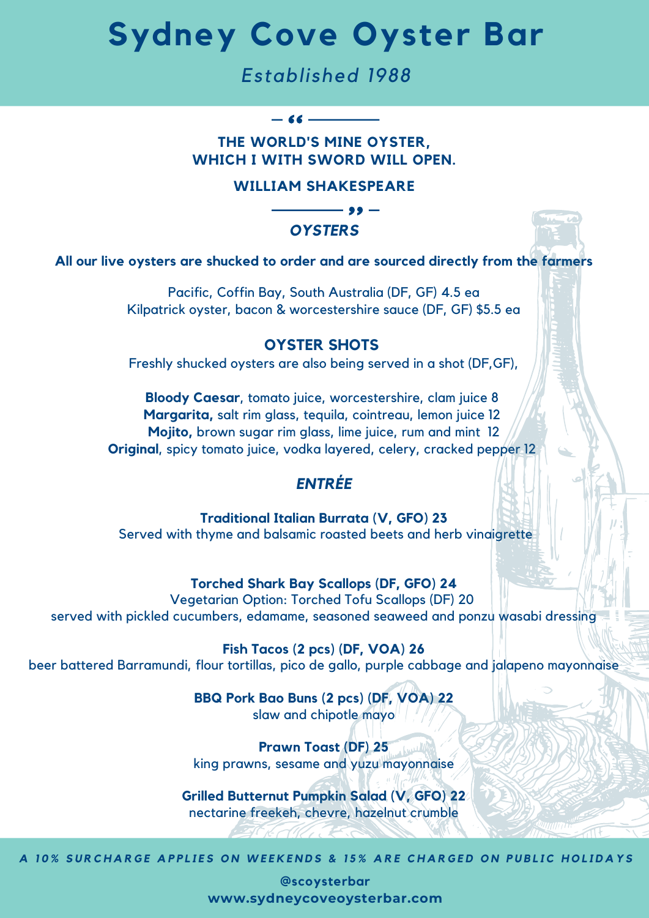## **Sydney Cove Oyster Bar**

## *Established 1988*

## **THE WORLD'S MINE OYSTER, WHICH I WITH SWORD WILL OPEN.**

 $-66$  —

### **WILLIAM SHAKESPEARE**



**All our live oysters are shucked to order and are sourced directly from the farmers**

Pacific, Coffin Bay, South Australia (DF, GF) 4.5 ea Kilpatrick oyster, bacon & worcestershire sauce (DF, GF) \$5.5 ea

## **OYSTER SHOTS**

Freshly shucked oysters are also being served in a shot (DF,GF),

**Bloody Caesar**, tomato juice, worcestershire, clam juice 8 **Margarita,** salt rim glass, tequila, cointreau, lemon juice 12 **Mojito,** brown sugar rim glass, lime juice, rum and mint 12 **Original**, spicy tomato juice, vodka layered, celery, cracked pepper 12

## *ENTRÉE*

**Traditional Italian Burrata (V, GFO) 23** Served with thyme and balsamic roasted beets and herb vinaigrette

#### **Torched Shark Bay Scallops (DF, GFO) 24**

Vegetarian Option: Torched Tofu Scallops (DF) 20 served with pickled cucumbers, edamame, seasoned seaweed and ponzu wasabi dressing

**Fish Tacos (2 pcs) (DF, VOA) 26** beer battered Barramundi, flour tortillas, pico de gallo, purple cabbage and jalapeno mayonnaise

> **BBQ Pork Bao Buns (2 pcs) (DF, VOA) 22** slaw and chipotle mayo

> **Prawn Toast (DF) 25** king prawns, sesame and yuzu mayonnaise

**Grilled Butternut Pumpkin Salad (V, GFO) 22** nectarine freekeh, chevre, hazelnut crumble

A 10% SURCHARGE APPLIES ON WEEKENDS & 15% ARE CHARGED ON PUBLIC HOLIDAYS

**@scoysterbar www.sydneycoveoysterbar.com**